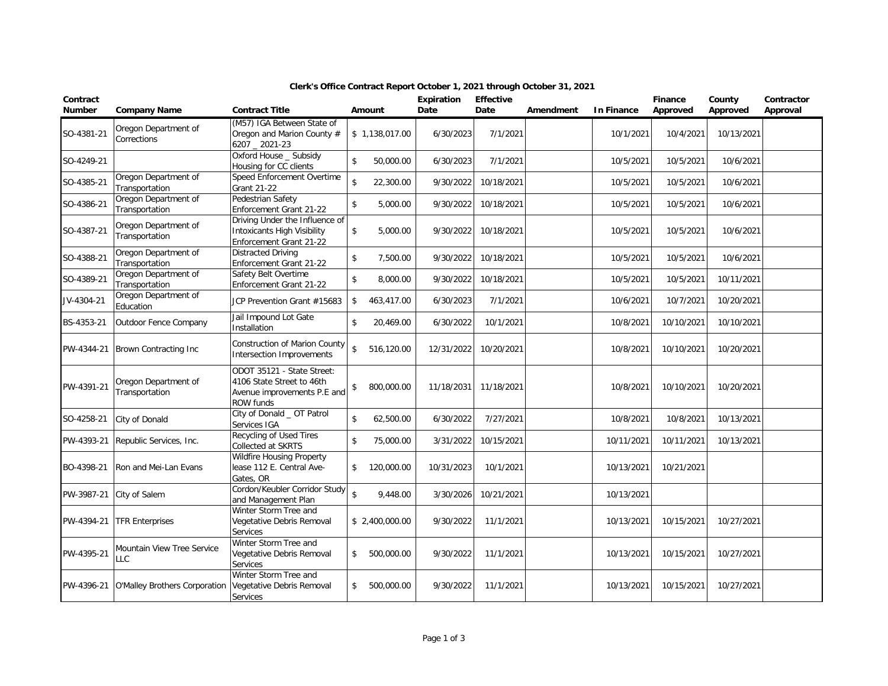| Contract<br><b>Number</b> | <b>Company Name</b>                    | <b>Contract Title</b>                                                                               | Amount                         | Expiration<br>Date | <b>Effective</b><br>Date | Amendment | <b>In Finance</b> | Finance<br>Approved | County<br>Approved | Contractor<br>Approval |
|---------------------------|----------------------------------------|-----------------------------------------------------------------------------------------------------|--------------------------------|--------------------|--------------------------|-----------|-------------------|---------------------|--------------------|------------------------|
| SO-4381-21                | Oregon Department of<br>Corrections    | (M57) IGA Between State of<br>Oregon and Marion County #<br>6207 2021-23                            | \$1,138,017.00                 | 6/30/2023          | 7/1/2021                 |           | 10/1/2021         | 10/4/2021           | 10/13/2021         |                        |
| SO-4249-21                |                                        | Oxford House _ Subsidy<br>Housing for CC clients                                                    | \$<br>50,000.00                | 6/30/2023          | 7/1/2021                 |           | 10/5/2021         | 10/5/2021           | 10/6/2021          |                        |
| SO-4385-21                | Oregon Department of<br>Transportation | Speed Enforcement Overtime<br>Grant 21-22                                                           | \$<br>22,300.00                | 9/30/2022          | 10/18/2021               |           | 10/5/2021         | 10/5/2021           | 10/6/2021          |                        |
| SO-4386-21                | Oregon Department of<br>Transportation | Pedestrian Safety<br>Enforcement Grant 21-22                                                        | \$<br>5,000.00                 | 9/30/2022          | 10/18/2021               |           | 10/5/2021         | 10/5/2021           | 10/6/2021          |                        |
| SO-4387-21                | Oregon Department of<br>Transportation | Driving Under the Influence of<br><b>Intoxicants High Visibility</b><br>Enforcement Grant 21-22     | \$<br>5,000.00                 | 9/30/2022          | 10/18/2021               |           | 10/5/2021         | 10/5/2021           | 10/6/2021          |                        |
| SO-4388-21                | Oregon Department of<br>Transportation | <b>Distracted Driving</b><br>Enforcement Grant 21-22                                                | \$<br>7,500.00                 | 9/30/2022          | 10/18/2021               |           | 10/5/2021         | 10/5/2021           | 10/6/2021          |                        |
| SO-4389-21                | Oregon Department of<br>Transportation | Safety Belt Overtime<br>Enforcement Grant 21-22                                                     | \$<br>8,000.00                 | 9/30/2022          | 10/18/2021               |           | 10/5/2021         | 10/5/2021           | 10/11/2021         |                        |
| JV-4304-21                | Oregon Department of<br>Education      | JCP Prevention Grant #15683                                                                         | \$<br>463,417.00               | 6/30/2023          | 7/1/2021                 |           | 10/6/2021         | 10/7/2021           | 10/20/2021         |                        |
| BS-4353-21                | Outdoor Fence Company                  | Jail Impound Lot Gate<br>Installation                                                               | \$<br>20,469.00                | 6/30/2022          | 10/1/2021                |           | 10/8/2021         | 10/10/2021          | 10/10/2021         |                        |
| PW-4344-21                | Brown Contracting Inc                  | <b>Construction of Marion County</b><br>Intersection Improvements                                   | \$<br>516,120.00               | 12/31/2022         | 10/20/2021               |           | 10/8/2021         | 10/10/2021          | 10/20/2021         |                        |
| PW-4391-21                | Oregon Department of<br>Transportation | ODOT 35121 - State Street:<br>4106 State Street to 46th<br>Avenue improvements P.E and<br>ROW funds | \$<br>800,000.00               | 11/18/2031         | 11/18/2021               |           | 10/8/2021         | 10/10/2021          | 10/20/2021         |                        |
| SO-4258-21                | City of Donald                         | City of Donald _ OT Patrol<br>Services IGA                                                          | \$<br>62,500.00                | 6/30/2022          | 7/27/2021                |           | 10/8/2021         | 10/8/2021           | 10/13/2021         |                        |
| PW-4393-21                | Republic Services, Inc.                | Recycling of Used Tires<br>Collected at SKRTS                                                       | \$<br>75,000.00                | 3/31/2022          | 10/15/2021               |           | 10/11/2021        | 10/11/2021          | 10/13/2021         |                        |
| BO-4398-21                | Ron and Mei-Lan Evans                  | <b>Wildfire Housing Property</b><br>lease 112 E. Central Ave-<br>Gates, OR                          | $\mathbb{S}$<br>120,000.00     | 10/31/2023         | 10/1/2021                |           | 10/13/2021        | 10/21/2021          |                    |                        |
| PW-3987-21                | City of Salem                          | Cordon/Keubler Corridor Study<br>and Management Plan                                                | $\mathbf{\hat{S}}$<br>9,448.00 | 3/30/2026          | 10/21/2021               |           | 10/13/2021        |                     |                    |                        |
| PW-4394-21                | <b>TFR Enterprises</b>                 | Winter Storm Tree and<br>Vegetative Debris Removal<br>Services                                      | \$2,400,000.00                 | 9/30/2022          | 11/1/2021                |           | 10/13/2021        | 10/15/2021          | 10/27/2021         |                        |
| PW-4395-21                | Mountain View Tree Service<br>LL C     | Winter Storm Tree and<br>Vegetative Debris Removal<br><b>Services</b>                               | \$<br>500,000.00               | 9/30/2022          | 11/1/2021                |           | 10/13/2021        | 10/15/2021          | 10/27/2021         |                        |
| PW-4396-21                | <b>O'Malley Brothers Corporation</b>   | Winter Storm Tree and<br>Vegetative Debris Removal<br>Services                                      | \$<br>500,000.00               | 9/30/2022          | 11/1/2021                |           | 10/13/2021        | 10/15/2021          | 10/27/2021         |                        |

## **Clerk's Office Contract Report October 1, 2021 through October 31, 2021**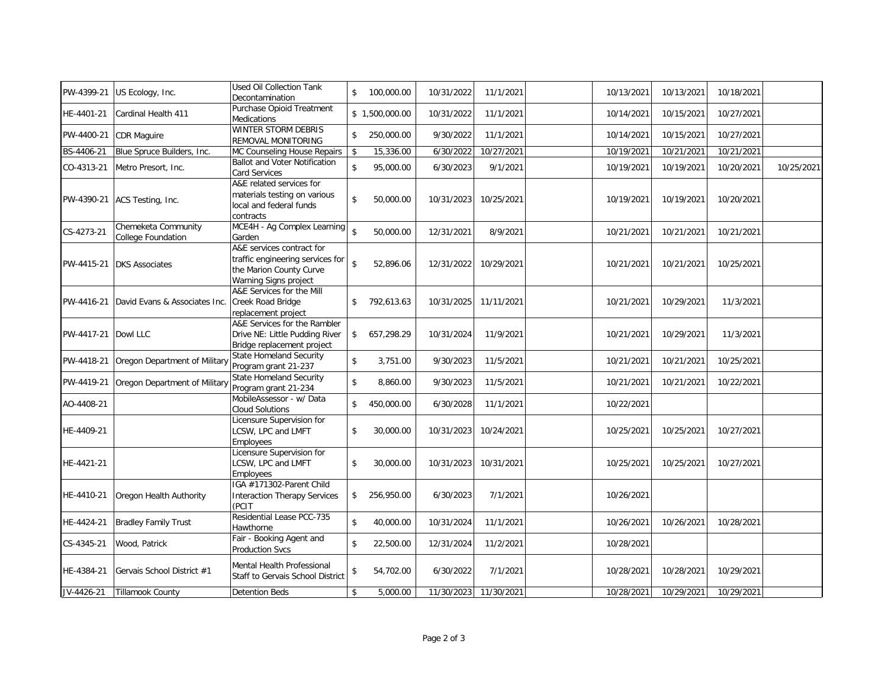| PW-4399-21            | US Ecology, Inc.                          | Used Oil Collection Tank<br>Decontamination                                                                       | \$                 | 100,000.00     | 10/31/2022 | 11/1/2021  | 10/13/2021 | 10/13/2021 | 10/18/2021 |            |
|-----------------------|-------------------------------------------|-------------------------------------------------------------------------------------------------------------------|--------------------|----------------|------------|------------|------------|------------|------------|------------|
| HE-4401-21            | Cardinal Health 411                       | Purchase Opioid Treatment<br>Medications                                                                          |                    | \$1,500,000.00 | 10/31/2022 | 11/1/2021  | 10/14/2021 | 10/15/2021 | 10/27/2021 |            |
| PW-4400-21            | CDR Maguire                               | <b>WINTER STORM DEBRIS</b><br>REMOVAL MONITORING                                                                  | $\mathsf{\$}$      | 250,000.00     | 9/30/2022  | 11/1/2021  | 10/14/2021 | 10/15/2021 | 10/27/2021 |            |
| BS-4406-21            | Blue Spruce Builders, Inc.                | MC Counseling House Repairs                                                                                       | \$                 | 15,336.00      | 6/30/2022  | 10/27/2021 | 10/19/2021 | 10/21/2021 | 10/21/2021 |            |
| CO-4313-21            | Metro Presort, Inc.                       | <b>Ballot and Voter Notification</b><br>Card Services                                                             | \$                 | 95,000.00      | 6/30/2023  | 9/1/2021   | 10/19/2021 | 10/19/2021 | 10/20/2021 | 10/25/2021 |
| PW-4390-21            | ACS Testing, Inc.                         | A&E related services for<br>materials testing on various<br>local and federal funds<br>contracts                  | $\mathsf{\$}$      | 50,000.00      | 10/31/2023 | 10/25/2021 | 10/19/2021 | 10/19/2021 | 10/20/2021 |            |
| CS-4273-21            | Chemeketa Community<br>College Foundation | MCE4H - Ag Complex Learning<br>Garden                                                                             | $\hat{\mathbf{s}}$ | 50,000.00      | 12/31/2021 | 8/9/2021   | 10/21/2021 | 10/21/2021 | 10/21/2021 |            |
| PW-4415-21            | <b>DKS Associates</b>                     | A&E services contract for<br>traffic engineering services for<br>the Marion County Curve<br>Warning Signs project | $\mathbf{\hat{S}}$ | 52,896.06      | 12/31/2022 | 10/29/2021 | 10/21/2021 | 10/21/2021 | 10/25/2021 |            |
| PW-4416-21            | David Evans & Associates Inc.             | A&E Services for the Mill<br>Creek Road Bridge<br>replacement project                                             | \$                 | 792,613.63     | 10/31/2025 | 11/11/2021 | 10/21/2021 | 10/29/2021 | 11/3/2021  |            |
| PW-4417-21   Dowl LLC |                                           | A&E Services for the Rambler<br>Drive NE: Little Pudding River<br>Bridge replacement project                      |                    | \$657,298.29   | 10/31/2024 | 11/9/2021  | 10/21/2021 | 10/29/2021 | 11/3/2021  |            |
| PW-4418-21            | Oregon Department of Militar              | <b>State Homeland Security</b><br>Program grant 21-237                                                            | $\mathsf{\$}$      | 3,751.00       | 9/30/2023  | 11/5/2021  | 10/21/2021 | 10/21/2021 | 10/25/2021 |            |
| PW-4419-21            | Oregon Department of Militar              | <b>State Homeland Security</b><br>Program grant 21-234                                                            | $\mathsf{\$}$      | 8,860.00       | 9/30/2023  | 11/5/2021  | 10/21/2021 | 10/21/2021 | 10/22/2021 |            |
| AO-4408-21            |                                           | MobileAssessor - w/ Data<br><b>Cloud Solutions</b>                                                                | \$                 | 450,000.00     | 6/30/2028  | 11/1/2021  | 10/22/2021 |            |            |            |
| HE-4409-21            |                                           | Licensure Supervision for<br>LCSW, LPC and LMFT<br>Employees                                                      | \$                 | 30,000.00      | 10/31/2023 | 10/24/2021 | 10/25/2021 | 10/25/2021 | 10/27/2021 |            |
| HE-4421-21            |                                           | Licensure Supervision for<br>LCSW, LPC and LMFT<br>Employees                                                      | \$                 | 30,000.00      | 10/31/2023 | 10/31/2021 | 10/25/2021 | 10/25/2021 | 10/27/2021 |            |
| HE-4410-21            | Oregon Health Authority                   | IGA #171302-Parent Child<br><b>Interaction Therapy Services</b><br>(PCIT                                          | \$                 | 256,950.00     | 6/30/2023  | 7/1/2021   | 10/26/2021 |            |            |            |
| HE-4424-21            | <b>Bradley Family Trust</b>               | Residential Lease PCC-735<br>Hawthorne                                                                            | \$                 | 40,000.00      | 10/31/2024 | 11/1/2021  | 10/26/2021 | 10/26/2021 | 10/28/2021 |            |
| CS-4345-21            | Wood, Patrick                             | Fair - Booking Agent and<br><b>Production Svcs</b>                                                                | \$                 | 22,500.00      | 12/31/2024 | 11/2/2021  | 10/28/2021 |            |            |            |
| HE-4384-21            | Gervais School District #1                | Mental Health Professional<br>Staff to Gervais School District                                                    | \$                 | 54,702.00      | 6/30/2022  | 7/1/2021   | 10/28/2021 | 10/28/2021 | 10/29/2021 |            |
| JV-4426-21            | Tillamook County                          | <b>Detention Beds</b>                                                                                             | \$                 | 5,000.00       | 11/30/2023 | 11/30/2021 | 10/28/2021 | 10/29/2021 | 10/29/2021 |            |